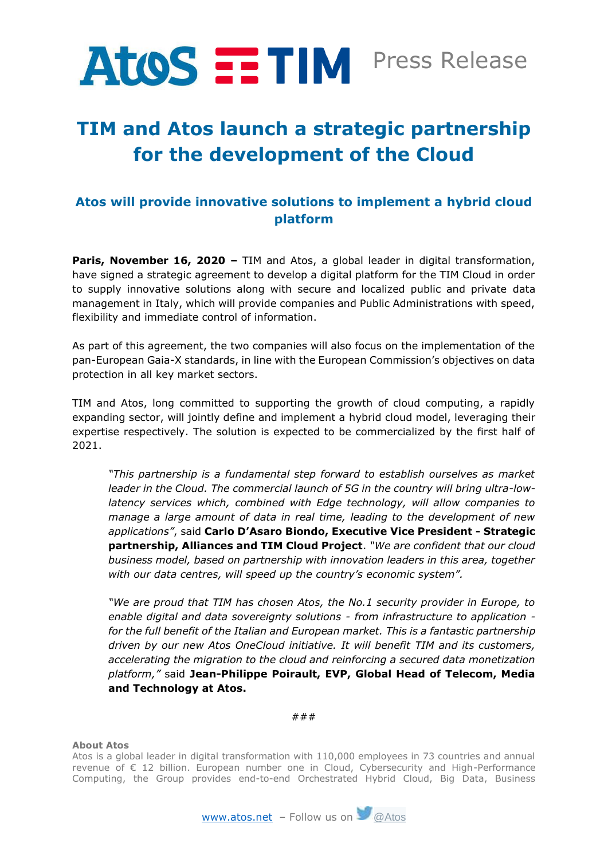

## **TIM and Atos launch a strategic partnership for the development of the Cloud**

## **Atos will provide innovative solutions to implement a hybrid cloud platform**

**Paris, November 16, 2020 –** TIM and Atos, a global leader in digital transformation, have signed a strategic agreement to develop a digital platform for the TIM Cloud in order to supply innovative solutions along with secure and localized public and private data management in Italy, which will provide companies and Public Administrations with speed, flexibility and immediate control of information.

As part of this agreement, the two companies will also focus on the implementation of the pan-European Gaia-X standards, in line with the European Commission's objectives on data protection in all key market sectors.

TIM and Atos, long committed to supporting the growth of cloud computing, a rapidly expanding sector, will jointly define and implement a hybrid cloud model, leveraging their expertise respectively. The solution is expected to be commercialized by the first half of 2021.

*"This partnership is a fundamental step forward to establish ourselves as market leader in the Cloud. The commercial launch of 5G in the country will bring ultra-lowlatency services which, combined with Edge technology, will allow companies to manage a large amount of data in real time, leading to the development of new applications"*, said **Carlo D'Asaro Biondo, Executive Vice President - Strategic partnership, Alliances and TIM Cloud Project**. *"We are confident that our cloud business model, based on partnership with innovation leaders in this area, together with our data centres, will speed up the country's economic system".*

*"We are proud that TIM has chosen Atos, the No.1 security provider in Europe, to enable digital and data sovereignty solutions - from infrastructure to application for the full benefit of the Italian and European market. This is a fantastic partnership driven by our new Atos OneCloud initiative. It will benefit TIM and its customers, accelerating the migration to the cloud and reinforcing a secured data monetization platform,"* said **Jean-Philippe Poirault, EVP, Global Head of Telecom, Media and Technology at Atos.**

###

**About Atos** 

Atos is a global leader in digital transformation with 110,000 employees in 73 countries and annual revenue of € 12 billion. European number one in Cloud, Cybersecurity and High-Performance Computing, the Group provides end-to-end Orchestrated Hybrid Cloud, Big Data, Business